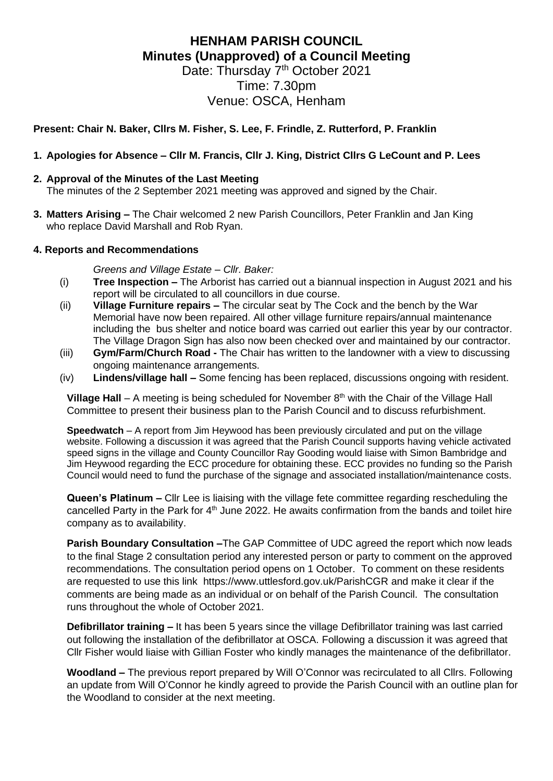# **HENHAM PARISH COUNCIL Minutes (Unapproved) of a Council Meeting**

Date: Thursday 7<sup>th</sup> October 2021 Time: 7.30pm Venue: OSCA, Henham

# **Present: Chair N. Baker, Cllrs M. Fisher, S. Lee, F. Frindle, Z. Rutterford, P. Franklin**

## **1. Apologies for Absence – Cllr M. Francis, Cllr J. King, District Cllrs G LeCount and P. Lees**

#### **2. Approval of the Minutes of the Last Meeting**

The minutes of the 2 September 2021 meeting was approved and signed by the Chair.

**3. Matters Arising –** The Chair welcomed 2 new Parish Councillors, Peter Franklin and Jan King who replace David Marshall and Rob Ryan.

#### **4. Reports and Recommendations**

*Greens and Village Estate – Cllr. Baker:*

- (i) **Tree Inspection –** The Arborist has carried out a biannual inspection in August 2021 and his report will be circulated to all councillors in due course.
- (ii) **Village Furniture repairs –** The circular seat by The Cock and the bench by the War Memorial have now been repaired. All other village furniture repairs/annual maintenance including the bus shelter and notice board was carried out earlier this year by our contractor. The Village Dragon Sign has also now been checked over and maintained by our contractor.
- (iii) **Gym/Farm/Church Road -** The Chair has written to the landowner with a view to discussing ongoing maintenance arrangements.
- (iv) **Lindens/village hall –** Some fencing has been replaced, discussions ongoing with resident.

**Village Hall** – A meeting is being scheduled for November 8<sup>th</sup> with the Chair of the Village Hall Committee to present their business plan to the Parish Council and to discuss refurbishment.

**Speedwatch** – A report from Jim Heywood has been previously circulated and put on the village website. Following a discussion it was agreed that the Parish Council supports having vehicle activated speed signs in the village and County Councillor Ray Gooding would liaise with Simon Bambridge and Jim Heywood regarding the ECC procedure for obtaining these. ECC provides no funding so the Parish Council would need to fund the purchase of the signage and associated installation/maintenance costs.

**Queen's Platinum –** Cllr Lee is liaising with the village fete committee regarding rescheduling the cancelled Party in the Park for 4<sup>th</sup> June 2022. He awaits confirmation from the bands and toilet hire company as to availability.

**Parish Boundary Consultation –**The GAP Committee of UDC agreed the report which now leads to the final Stage 2 consultation period any interested person or party to comment on the approved recommendations. The consultation period opens on 1 October. To comment on these residents are requested to use this link <https://www.uttlesford.gov.uk/ParishCGR> and make it clear if the comments are being made as an individual or on behalf of the Parish Council. The consultation runs throughout the whole of October 2021.

**Defibrillator training –** It has been 5 years since the village Defibrillator training was last carried out following the installation of the defibrillator at OSCA. Following a discussion it was agreed that Cllr Fisher would liaise with Gillian Foster who kindly manages the maintenance of the defibrillator.

**Woodland –** The previous report prepared by Will O'Connor was recirculated to all Cllrs. Following an update from Will O'Connor he kindly agreed to provide the Parish Council with an outline plan for the Woodland to consider at the next meeting.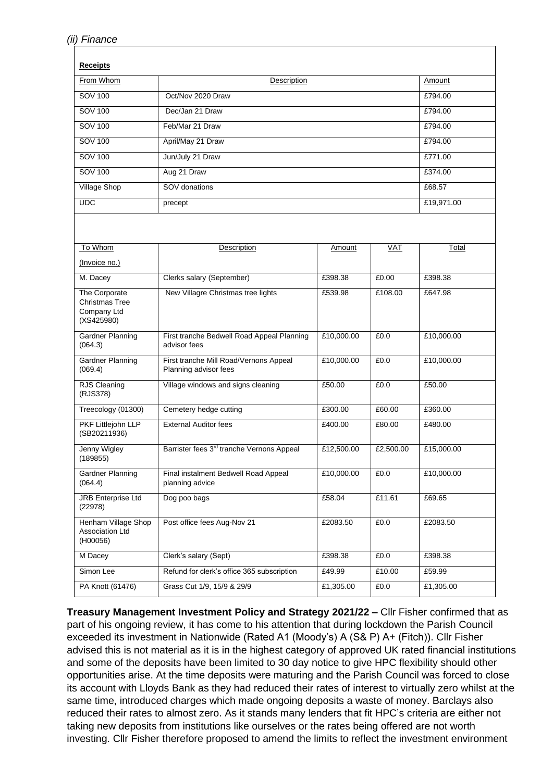| <b>Receipts</b>                                                     |                                                                 |            |            |            |
|---------------------------------------------------------------------|-----------------------------------------------------------------|------------|------------|------------|
| From Whom                                                           | Description                                                     |            |            | Amount     |
| SOV 100                                                             | Oct/Nov 2020 Draw                                               |            |            | £794.00    |
| SOV 100                                                             | Dec/Jan 21 Draw                                                 |            |            | £794.00    |
| <b>SOV 100</b>                                                      | Feb/Mar 21 Draw                                                 |            |            | £794.00    |
| <b>SOV 100</b>                                                      | April/May 21 Draw                                               |            |            | £794.00    |
| SOV 100                                                             | Jun/July 21 Draw                                                |            |            | £771.00    |
| SOV 100                                                             | Aug 21 Draw                                                     |            |            | £374.00    |
| Village Shop                                                        | SOV donations                                                   |            |            | £68.57     |
| <b>UDC</b>                                                          | precept                                                         |            |            | £19,971.00 |
|                                                                     |                                                                 |            |            |            |
| To Whom                                                             | Description                                                     | Amount     | <b>VAT</b> | Total      |
| (Invoice no.)                                                       |                                                                 |            |            |            |
| M. Dacey                                                            | Clerks salary (September)                                       | £398.38    | £0.00      | £398.38    |
| The Corporate<br><b>Christmas Tree</b><br>Company Ltd<br>(XS425980) | New Villagre Christmas tree lights                              | £539.98    | £108.00    | £647.98    |
| Gardner Planning<br>(064.3)                                         | First tranche Bedwell Road Appeal Planning<br>advisor fees      | £10,000.00 | £0.0       | £10,000.00 |
| <b>Gardner Planning</b><br>(069.4)                                  | First tranche Mill Road/Vernons Appeal<br>Planning advisor fees | £10,000.00 | £0.0       | £10,000.00 |
| RJS Cleaning<br>(RJS378)                                            | Village windows and signs cleaning                              | £50.00     | £0.0       | £50.00     |
| Treecology (01300)                                                  | Cemetery hedge cutting                                          | £300.00    | £60.00     | £360.00    |
| PKF Littlejohn LLP<br>(SB20211936)                                  | <b>External Auditor fees</b>                                    | £400.00    | £80.00     | £480.00    |
| Jenny Wigley<br>(189855)                                            | Barrister fees 3 <sup>rd</sup> tranche Vernons Appeal           | £12,500.00 | £2,500.00  | £15,000.00 |
| <b>Gardner Planning</b><br>(064.4)                                  | Final instalment Bedwell Road Appeal<br>planning advice         | £10,000.00 | £0.0       | £10,000.00 |
| <b>JRB Enterprise Ltd</b><br>(22978)                                | Dog poo bags                                                    | £58.04     | £11.61     | £69.65     |
| Henham Village Shop<br><b>Association Ltd</b><br>(H00056)           | Post office fees Aug-Nov 21                                     | £2083.50   | £0.0       | £2083.50   |
| M Dacey                                                             | Clerk's salary (Sept)                                           | £398.38    | £0.0       | £398.38    |
| Simon Lee                                                           | Refund for clerk's office 365 subscription                      | £49.99     | £10.00     | £59.99     |
| PA Knott (61476)                                                    | Grass Cut 1/9, 15/9 & 29/9                                      | £1,305.00  | £0.0       | £1,305.00  |

**Treasury Management Investment Policy and Strategy 2021/22 –** Cllr Fisher confirmed that as part of his ongoing review, it has come to his attention that during lockdown the Parish Council exceeded its investment in Nationwide (Rated A1 (Moody's) A (S& P) A+ (Fitch)). Cllr Fisher advised this is not material as it is in the highest category of approved UK rated financial institutions and some of the deposits have been limited to 30 day notice to give HPC flexibility should other opportunities arise. At the time deposits were maturing and the Parish Council was forced to close its account with Lloyds Bank as they had reduced their rates of interest to virtually zero whilst at the same time, introduced charges which made ongoing deposits a waste of money. Barclays also reduced their rates to almost zero. As it stands many lenders that fit HPC's criteria are either not taking new deposits from institutions like ourselves or the rates being offered are not worth investing. Cllr Fisher therefore proposed to amend the limits to reflect the investment environment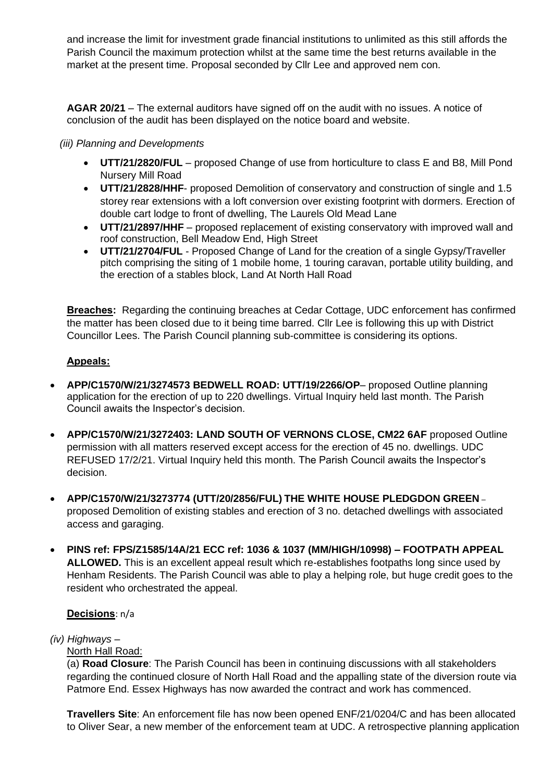and increase the limit for investment grade financial institutions to unlimited as this still affords the Parish Council the maximum protection whilst at the same time the best returns available in the market at the present time. Proposal seconded by Cllr Lee and approved nem con.

**AGAR 20/21** – The external auditors have signed off on the audit with no issues. A notice of conclusion of the audit has been displayed on the notice board and website.

## *(iii) Planning and Developments*

- **UTT/21/2820/FUL** proposed Change of use from horticulture to class E and B8, Mill Pond Nursery Mill Road
- **UTT/21/2828/HHF** proposed Demolition of conservatory and construction of single and 1.5 storey rear extensions with a loft conversion over existing footprint with dormers. Erection of double cart lodge to front of dwelling, The Laurels Old Mead Lane
- **UTT/21/2897/HHF** proposed replacement of existing conservatory with improved wall and roof construction, Bell Meadow End, High Street
- **UTT/21/2704/FUL** Proposed Change of Land for the creation of a single Gypsy/Traveller pitch comprising the siting of 1 mobile home, 1 touring caravan, portable utility building, and the erection of a stables block, Land At North Hall Road

**Breaches:** Regarding the continuing breaches at Cedar Cottage, UDC enforcement has confirmed the matter has been closed due to it being time barred. Cllr Lee is following this up with District Councillor Lees. The Parish Council planning sub-committee is considering its options.

## **Appeals:**

- **APP/C1570/W/21/3274573 BEDWELL ROAD: UTT/19/2266/OP** proposed Outline planning application for the erection of up to 220 dwellings. Virtual Inquiry held last month. The Parish Council awaits the Inspector's decision.
- **APP/C1570/W/21/3272403: LAND SOUTH OF VERNONS CLOSE, CM22 6AF** proposed Outline permission with all matters reserved except access for the erection of 45 no. dwellings. UDC REFUSED 17/2/21. Virtual Inquiry held this month. The Parish Council awaits the Inspector's decision.
- **APP/C1570/W/21/3273774 (UTT/20/2856/FUL) THE WHITE HOUSE PLEDGDON GREEN** proposed Demolition of existing stables and erection of 3 no. detached dwellings with associated access and garaging.
- **PINS ref: FPS/Z1585/14A/21 ECC ref: 1036 & 1037 (MM/HIGH/10998) – FOOTPATH APPEAL ALLOWED.** This is an excellent appeal result which re-establishes footpaths long since used by Henham Residents. The Parish Council was able to play a helping role, but huge credit goes to the resident who orchestrated the appeal.

## **Decisions**: n/a

#### *(iv) Highways –*

## North Hall Road:

(a) **Road Closure**: The Parish Council has been in continuing discussions with all stakeholders regarding the continued closure of North Hall Road and the appalling state of the diversion route via Patmore End. Essex Highways has now awarded the contract and work has commenced.

**Travellers Site**: An enforcement file has now been opened ENF/21/0204/C and has been allocated to Oliver Sear, a new member of the enforcement team at UDC. A retrospective planning application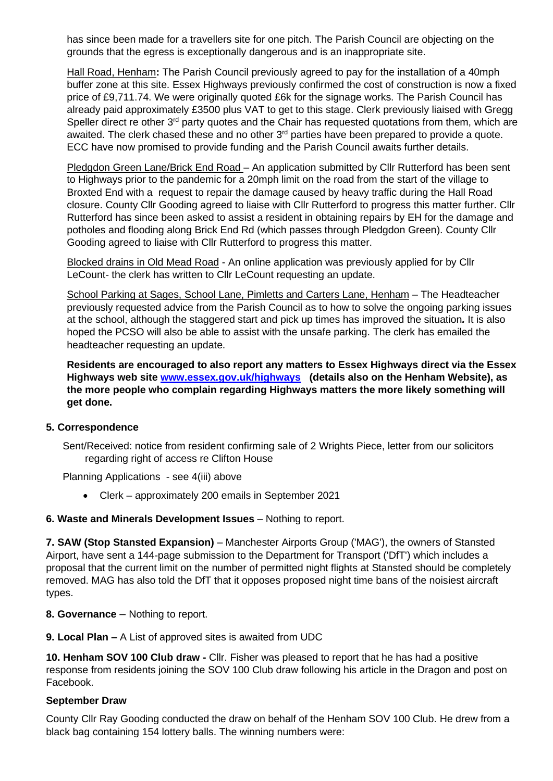has since been made for a travellers site for one pitch. The Parish Council are objecting on the grounds that the egress is exceptionally dangerous and is an inappropriate site.

Hall Road, Henham**:** The Parish Council previously agreed to pay for the installation of a 40mph buffer zone at this site. Essex Highways previously confirmed the cost of construction is now a fixed price of £9,711.74. We were originally quoted £6k for the signage works. The Parish Council has already paid approximately £3500 plus VAT to get to this stage. Clerk previously liaised with Gregg Speller direct re other  $3<sup>rd</sup>$  party quotes and the Chair has requested quotations from them, which are awaited. The clerk chased these and no other 3<sup>rd</sup> parties have been prepared to provide a quote. ECC have now promised to provide funding and the Parish Council awaits further details.

Pledgdon Green Lane/Brick End Road – An application submitted by Cllr Rutterford has been sent to Highways prior to the pandemic for a 20mph limit on the road from the start of the village to Broxted End with a request to repair the damage caused by heavy traffic during the Hall Road closure. County Cllr Gooding agreed to liaise with Cllr Rutterford to progress this matter further. Cllr Rutterford has since been asked to assist a resident in obtaining repairs by EH for the damage and potholes and flooding along Brick End Rd (which passes through Pledgdon Green). County Cllr Gooding agreed to liaise with Cllr Rutterford to progress this matter.

Blocked drains in Old Mead Road - An online application was previously applied for by Cllr LeCount- the clerk has written to Cllr LeCount requesting an update.

School Parking at Sages, School Lane, Pimletts and Carters Lane, Henham – The Headteacher previously requested advice from the Parish Council as to how to solve the ongoing parking issues at the school, although the staggered start and pick up times has improved the situation*.* It is also hoped the PCSO will also be able to assist with the unsafe parking. The clerk has emailed the headteacher requesting an update.

**Residents are encouraged to also report any matters to Essex Highways direct via the Essex Highways web site [www.essex.gov.uk/highways](http://www.essex.gov.uk/highways) (details also on the Henham Website), as the more people who complain regarding Highways matters the more likely something will get done.**

#### **5. Correspondence**

Sent/Received: notice from resident confirming sale of 2 Wrights Piece, letter from our solicitors regarding right of access re Clifton House

Planning Applications - see 4(iii) above

• Clerk – approximately 200 emails in September 2021

## **6. Waste and Minerals Development Issues** – Nothing to report.

**7. SAW (Stop Stansted Expansion)** – Manchester Airports Group ('MAG'), the owners of Stansted Airport, have sent a 144-page submission to the Department for Transport ('DfT') which includes a proposal that the current limit on the number of permitted night flights at Stansted should be completely removed. MAG has also told the DfT that it opposes proposed night time bans of the noisiest aircraft types.

**8. Governance** – Nothing to report.

**9. Local Plan –** A List of approved sites is awaited from UDC

**10. Henham SOV 100 Club draw -** Cllr. Fisher was pleased to report that he has had a positive response from residents joining the SOV 100 Club draw following his article in the Dragon and post on Facebook.

#### **September Draw**

County Cllr Ray Gooding conducted the draw on behalf of the Henham SOV 100 Club. He drew from a black bag containing 154 lottery balls. The winning numbers were: